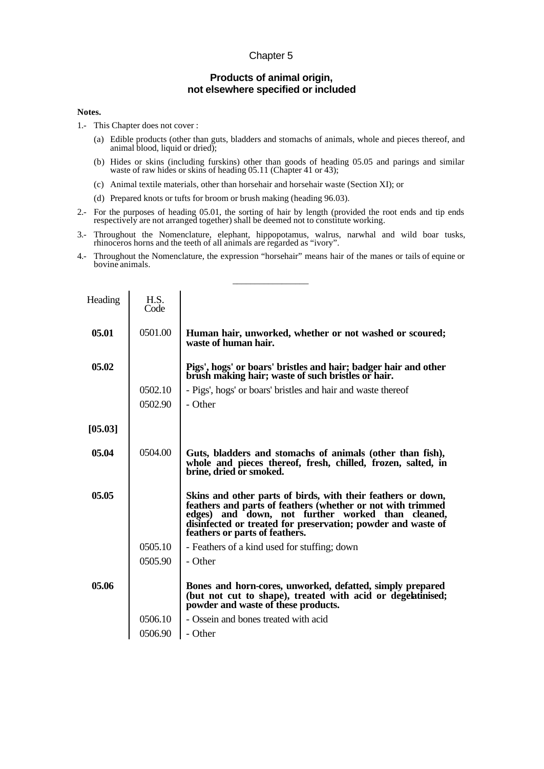## Chapter 5

## **Products of animal origin, not elsewhere specified or included**

## **Notes.**

- 1.- This Chapter does not cover :
	- (a) Edible products (other than guts, bladders and stomachs of animals, whole and pieces thereof, and animal blood, liquid or dried);
	- (b) Hides or skins (including furskins) other than goods of heading 05.05 and parings and similar waste of raw hides or skins of heading 05.11 (Chapter 41 or 43);
	- (c) Animal textile materials, other than horsehair and horsehair waste (Section XI); or
	- (d) Prepared knots or tufts for broom or brush making (heading 96.03).
- 2.- For the purposes of heading 05.01, the sorting of hair by length (provided the root ends and tip ends respectively are not arranged together) shall be deemed not to constitute working.
- 3.- Throughout the Nomenclature, elephant, hippopotamus, walrus, narwhal and wild boar tusks, rhinoceros horns and the teeth of all animals are regarded as "ivory".
- 4.- Throughout the Nomenclature, the expression "horsehair" means hair of the manes or tails of equine or bovine animals.

\_\_\_\_\_\_\_\_\_\_\_\_\_\_\_\_\_

| Heading | H.S.<br>Code |                                                                                                                                                                                                                                                                                    |
|---------|--------------|------------------------------------------------------------------------------------------------------------------------------------------------------------------------------------------------------------------------------------------------------------------------------------|
| 05.01   | 0501.00      | Human hair, unworked, whether or not washed or scoured;<br>waste of human hair.                                                                                                                                                                                                    |
| 05.02   |              | Pigs', hogs' or boars' bristles and hair; badger hair and other<br>brush making hair; waste of such bristles or hair.                                                                                                                                                              |
|         | 0502.10      | - Pigs', hogs' or boars' bristles and hair and waste thereof                                                                                                                                                                                                                       |
|         | 0502.90      | - Other                                                                                                                                                                                                                                                                            |
| [05.03] |              |                                                                                                                                                                                                                                                                                    |
| 05.04   | 0504.00      | Guts, bladders and stomachs of animals (other than fish),<br>whole and pieces thereof, fresh, chilled, frozen, salted, in<br>brine, dried or smoked.                                                                                                                               |
| 05.05   |              | Skins and other parts of birds, with their feathers or down,<br>feathers and parts of feathers (whether or not with trimmed<br>edges) and down, not further worked than cleaned,<br>disinfected or treated for preservation; powder and waste of<br>feathers or parts of feathers. |
|         | 0505.10      | - Feathers of a kind used for stuffing; down                                                                                                                                                                                                                                       |
|         | 0505.90      | - Other                                                                                                                                                                                                                                                                            |
| 05.06   |              | Bones and horn-cores, unworked, defatted, simply prepared<br>(but not cut to shape), treated with acid or degelatinised;<br>powder and waste of these products.                                                                                                                    |
|         | 0506.10      | - Ossein and bones treated with acid                                                                                                                                                                                                                                               |
|         | 0506.90      | - Other                                                                                                                                                                                                                                                                            |